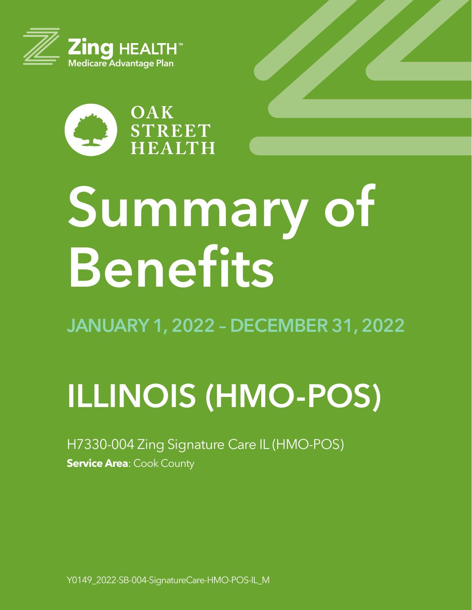



# **Summary of Benefits**

**JANUARY 1, 2022 – DECEMBER 31, 2022**

# **ILLINOIS (HMO-POS)**

H7330-004 Zing Signature Care IL (HMO-POS) **Service Area: Cook County** 

Y0149\_2022-SB-004-SignatureCare-HMO-POS-IL\_M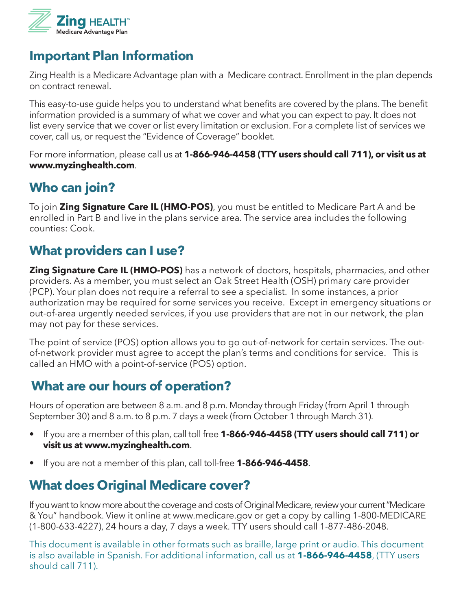

# **Important Plan Information**

Zing Health is a Medicare Advantage plan with a Medicare contract. Enrollment in the plan depends on contract renewal.

This easy-to-use guide helps you to understand what benefits are covered by the plans. The benefit information provided is a summary of what we cover and what you can expect to pay. It does not list every service that we cover or list every limitation or exclusion. For a complete list of services we cover, call us, or request the "Evidence of Coverage" booklet.

For more information, please call us at **1-866-946-4458 (TTY users should call 711), or visit us at www.myzinghealth.com**.

# **Who can join?**

To join **Zing Signature Care IL (HMO-POS)**, you must be entitled to Medicare Part A and be enrolled in Part B and live in the plans service area. The service area includes the following counties: Cook.

# **What providers can I use?**

**Zing Signature Care IL (HMO-POS)** has a network of doctors, hospitals, pharmacies, and other providers. As a member, you must select an Oak Street Health (OSH) primary care provider (PCP). Your plan does not require a referral to see a specialist. In some instances, a prior authorization may be required for some services you receive. Except in emergency situations or out-of-area urgently needed services, if you use providers that are not in our network, the plan may not pay for these services.

The point of service (POS) option allows you to go out-of-network for certain services. The outof-network provider must agree to accept the plan's terms and conditions for service. This is called an HMO with a point-of-service (POS) option.

# **What are our hours of operation?**

Hours of operation are between 8 a.m. and 8 p.m. Monday through Friday (from April 1 through September 30) and 8 a.m. to 8 p.m. 7 days a week (from October 1 through March 31).

- If you are a member of this plan, call toll free **1-866-946-4458 (TTY users should call 711) or visit us at www.myzinghealth.com**.
- If you are not a member of this plan, call toll-free **1-866-946-4458**.

# **What does Original Medicare cover?**

If you want to know more about the coverage and costs of Original Medicare, review your current "Medicare & You" handbook. View it online at www.medicare.gov or get a copy by calling 1-800-MEDICARE (1-800-633-4227), 24 hours a day, 7 days a week. TTY users should call 1-877-486-2048.

This document is available in other formats such as braille, large print or audio. This document is also available in Spanish. For additional information, call us at **1-866-946-4458**, (TTY users should call 711).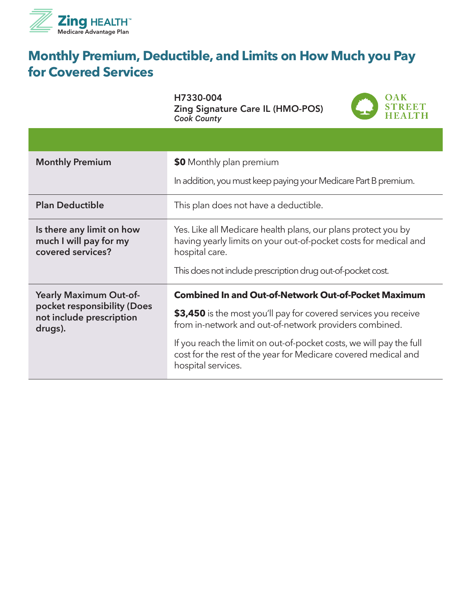

# **Monthly Premium, Deductible, and Limits on How Much you Pay for Covered Services**

H7330-004 Zing Signature Care IL (HMO-POS) *Cook County*



| <b>Monthly Premium</b>                                                   | \$0 Monthly plan premium                                                                                                                                    |
|--------------------------------------------------------------------------|-------------------------------------------------------------------------------------------------------------------------------------------------------------|
|                                                                          | In addition, you must keep paying your Medicare Part B premium.                                                                                             |
| <b>Plan Deductible</b>                                                   | This plan does not have a deductible.                                                                                                                       |
| Is there any limit on how<br>much I will pay for my<br>covered services? | Yes. Like all Medicare health plans, our plans protect you by<br>having yearly limits on your out-of-pocket costs for medical and<br>hospital care.         |
|                                                                          | This does not include prescription drug out-of-pocket cost.                                                                                                 |
| <b>Yearly Maximum Out-of-</b>                                            | <b>Combined In and Out-of-Network Out-of-Pocket Maximum</b>                                                                                                 |
| pocket responsibility (Does<br>not include prescription<br>drugs).       | \$3,450 is the most you'll pay for covered services you receive<br>from in-network and out-of-network providers combined.                                   |
|                                                                          | If you reach the limit on out-of-pocket costs, we will pay the full<br>cost for the rest of the year for Medicare covered medical and<br>hospital services. |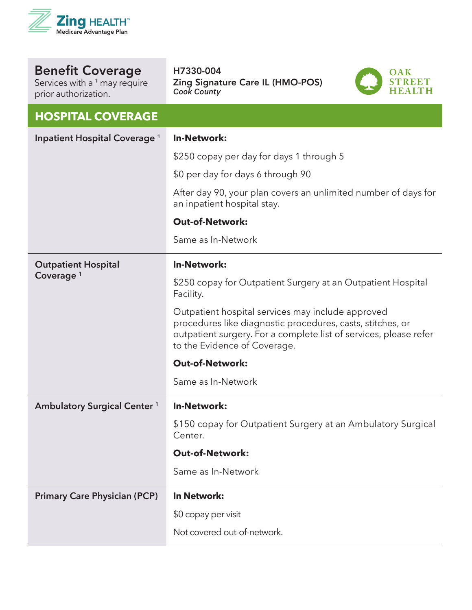

Services with a <sup>1</sup> may require prior authorization.

#### H7330-004 Zing Signature Care IL (HMO-POS) *Cook County*



#### **HOSPITAL COVERAGE**

| Inpatient Hospital Coverage <sup>1</sup> | <b>In-Network:</b>                                                                                                                                                                                                   |
|------------------------------------------|----------------------------------------------------------------------------------------------------------------------------------------------------------------------------------------------------------------------|
|                                          | \$250 copay per day for days 1 through 5                                                                                                                                                                             |
|                                          | \$0 per day for days 6 through 90                                                                                                                                                                                    |
|                                          | After day 90, your plan covers an unlimited number of days for<br>an inpatient hospital stay.                                                                                                                        |
|                                          | <b>Out-of-Network:</b>                                                                                                                                                                                               |
|                                          | Same as In-Network                                                                                                                                                                                                   |
| <b>Outpatient Hospital</b>               | <b>In-Network:</b>                                                                                                                                                                                                   |
| Coverage <sup>1</sup>                    | \$250 copay for Outpatient Surgery at an Outpatient Hospital<br>Facility.                                                                                                                                            |
|                                          | Outpatient hospital services may include approved<br>procedures like diagnostic procedures, casts, stitches, or<br>outpatient surgery. For a complete list of services, please refer<br>to the Evidence of Coverage. |
|                                          | <b>Out-of-Network:</b>                                                                                                                                                                                               |
|                                          |                                                                                                                                                                                                                      |
|                                          | Same as In-Network                                                                                                                                                                                                   |
| <b>Ambulatory Surgical Center 1</b>      | <b>In-Network:</b>                                                                                                                                                                                                   |
|                                          | \$150 copay for Outpatient Surgery at an Ambulatory Surgical<br>Center.                                                                                                                                              |
|                                          | <b>Out-of-Network:</b>                                                                                                                                                                                               |
|                                          | Same as In-Network                                                                                                                                                                                                   |
| <b>Primary Care Physician (PCP)</b>      | In Network:                                                                                                                                                                                                          |
|                                          | \$0 copay per visit                                                                                                                                                                                                  |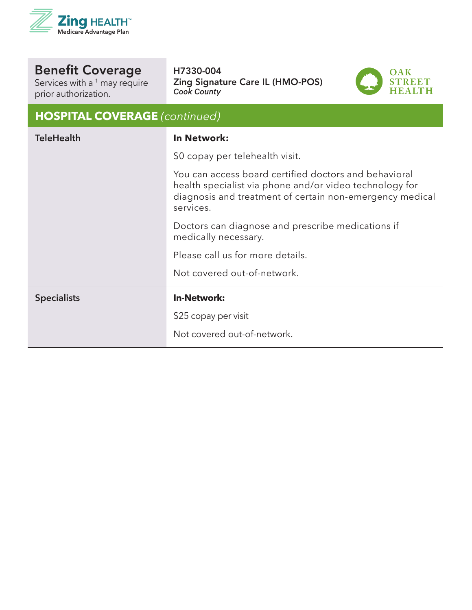

Services with a  $^1$  may require prior authorization.

#### H7330-004 Zing Signature Care IL (HMO-POS) *Cook County*



## **HOSPITAL COVERAGE** *(continued)*

| \$0 copay per telehealth visit.                                                                                                                                                           |  |
|-------------------------------------------------------------------------------------------------------------------------------------------------------------------------------------------|--|
| You can access board certified doctors and behavioral<br>health specialist via phone and/or video technology for<br>diagnosis and treatment of certain non-emergency medical<br>services. |  |
| Doctors can diagnose and prescribe medications if<br>medically necessary.                                                                                                                 |  |
| Please call us for more details.                                                                                                                                                          |  |
| Not covered out-of-network.                                                                                                                                                               |  |
| <b>In-Network:</b><br><b>Specialists</b>                                                                                                                                                  |  |
| \$25 copay per visit                                                                                                                                                                      |  |
| Not covered out-of-network.                                                                                                                                                               |  |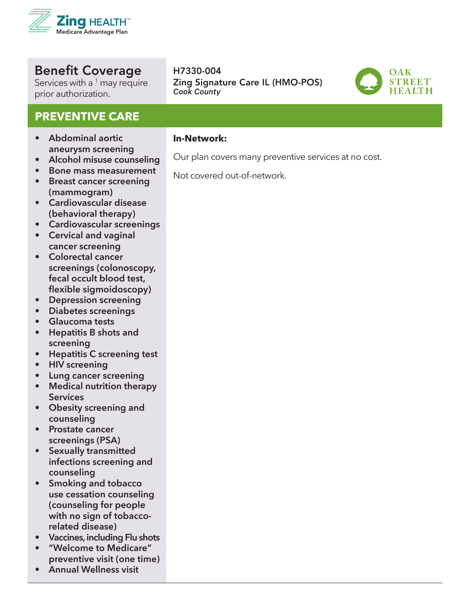

Services with a <sup>1</sup> may require prior authorization.

#### **PREVENTIVE CARE**

- **• Abdominal aortic aneurysm screening**
- **• Alcohol misuse counseling**
- **• Bone mass measurement**
- **• Breast cancer screening (mammogram)**
- **• Cardiovascular disease (behavioral therapy)**
- **• Cardiovascular screenings**
- **• Cervical and vaginal cancer screening**
- **• Colorectal cancer screenings (colonoscopy, fecal occult blood test, flexible sigmoidoscopy)**
- **• Depression screening**
- **• Diabetes screenings**
- **• Glaucoma tests**
- **• Hepatitis B shots and screening**
- **• Hepatitis C screening test**
- **• HIV screening**
- **• Lung cancer screening**
- **• Medical nutrition therapy Services**
- **• Obesity screening and counseling**
- **• Prostate cancer screenings (PSA)**
- **• Sexually transmitted infections screening and counseling**
- **• Smoking and tobacco use cessation counseling (counseling for people with no sign of tobaccorelated disease)**
- **• Vaccines, including Flu shots**
- **• "Welcome to Medicare" preventive visit (one time)**
- **• Annual Wellness visit**

#### **In-Network:**

H7330-004

*Cook County*

- Our plan covers many preventive services at no cost.
- Not covered out-of-network.

Zing Signature Care IL (HMO-POS)

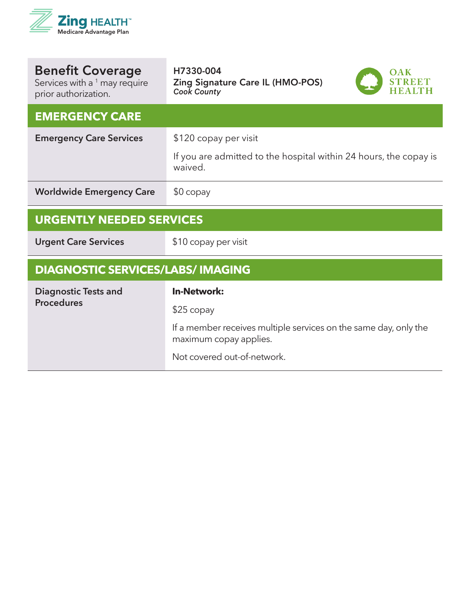

| <b>Benefit Coverage</b><br>Services with a <sup>1</sup> may require<br>prior authorization. | H7330-004<br>Zing Signature Care IL (HMO-POS)<br><b>Cook County</b>                        |
|---------------------------------------------------------------------------------------------|--------------------------------------------------------------------------------------------|
| <b>EMERGENCY CARE</b>                                                                       |                                                                                            |
| <b>Emergency Care Services</b>                                                              | \$120 copay per visit                                                                      |
|                                                                                             | If you are admitted to the hospital within 24 hours, the copay is<br>waived.               |
| <b>Worldwide Emergency Care</b>                                                             | $$0$ copay                                                                                 |
| <b>URGENTLY NEEDED SERVICES</b>                                                             |                                                                                            |
| <b>Urgent Care Services</b>                                                                 | \$10 copay per visit                                                                       |
|                                                                                             |                                                                                            |
| <b>DIAGNOSTIC SERVICES/LABS/ IMAGING</b>                                                    |                                                                                            |
| <b>Diagnostic Tests and</b>                                                                 | <b>In-Network:</b>                                                                         |
| <b>Procedures</b>                                                                           | $$25$ copay                                                                                |
|                                                                                             | If a member receives multiple services on the same day, only the<br>maximum copay applies. |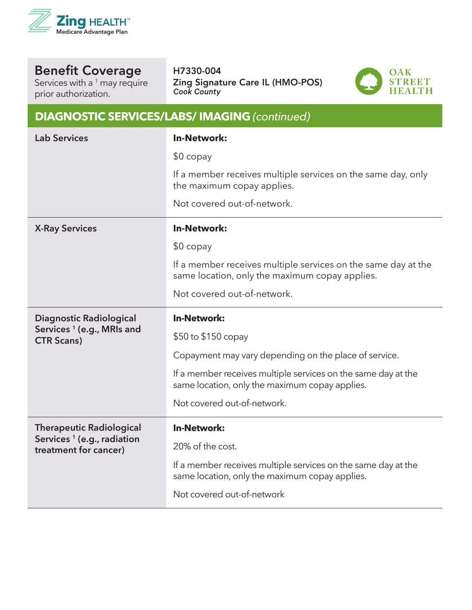

Services with a <sup>1</sup> may require prior authorization.

#### H7330-004 Zing Signature Care IL (HMO-POS) *Cook County*

**DIAGNOSTIC SERVICES/LABS/ IMAGING** *(continued)*



| <b>Lab Services</b>                                             | <b>In-Network:</b>                                                                                              |
|-----------------------------------------------------------------|-----------------------------------------------------------------------------------------------------------------|
|                                                                 | $$0$ copay                                                                                                      |
|                                                                 | If a member receives multiple services on the same day, only<br>the maximum copay applies.                      |
|                                                                 | Not covered out-of-network.                                                                                     |
| <b>X-Ray Services</b>                                           | <b>In-Network:</b>                                                                                              |
|                                                                 | $$0$ copay                                                                                                      |
|                                                                 | If a member receives multiple services on the same day at the<br>same location, only the maximum copay applies. |
|                                                                 | Not covered out-of-network.                                                                                     |
| <b>Diagnostic Radiological</b>                                  | <b>In-Network:</b>                                                                                              |
| Services <sup>1</sup> (e.g., MRIs and<br><b>CTR Scans)</b>      | \$50 to \$150 copay                                                                                             |
|                                                                 | Copayment may vary depending on the place of service.                                                           |
|                                                                 | If a member receives multiple services on the same day at the<br>same location, only the maximum copay applies. |
|                                                                 | Not covered out-of-network.                                                                                     |
| <b>Therapeutic Radiological</b>                                 | <b>In-Network:</b>                                                                                              |
| Services <sup>1</sup> (e.g., radiation<br>treatment for cancer) | 20% of the cost.                                                                                                |
|                                                                 | If a member receives multiple services on the same day at the<br>same location, only the maximum copay applies. |
|                                                                 | Not covered out-of-network                                                                                      |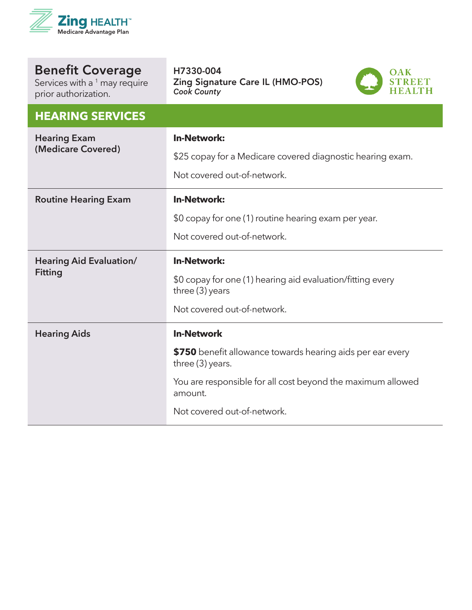

| <b>Benefit Coverage</b> |
|-------------------------|
|                         |

Services with a  $^1$  may require prior authorization.

#### **HEARING SERVICES**

| III-LAININ SUSAN ISSO                            |                                                                                                                                                                                                              |
|--------------------------------------------------|--------------------------------------------------------------------------------------------------------------------------------------------------------------------------------------------------------------|
| <b>Hearing Exam</b><br>(Medicare Covered)        | <b>In-Network:</b><br>\$25 copay for a Medicare covered diagnostic hearing exam.<br>Not covered out-of-network.                                                                                              |
| <b>Routine Hearing Exam</b>                      | <b>In-Network:</b><br>\$0 copay for one (1) routine hearing exam per year.<br>Not covered out-of-network.                                                                                                    |
| <b>Hearing Aid Evaluation/</b><br><b>Fitting</b> | <b>In-Network:</b><br>\$0 copay for one (1) hearing aid evaluation/fitting every<br>three (3) years<br>Not covered out-of-network.                                                                           |
| <b>Hearing Aids</b>                              | <b>In-Network</b><br>\$750 benefit allowance towards hearing aids per ear every<br>three (3) years.<br>You are responsible for all cost beyond the maximum allowed<br>amount.<br>Not covered out-of-network. |

Zing Signature Care IL (HMO-POS)

**OAK** 

STREET<br>HEALTH

H7330-004

*Cook County*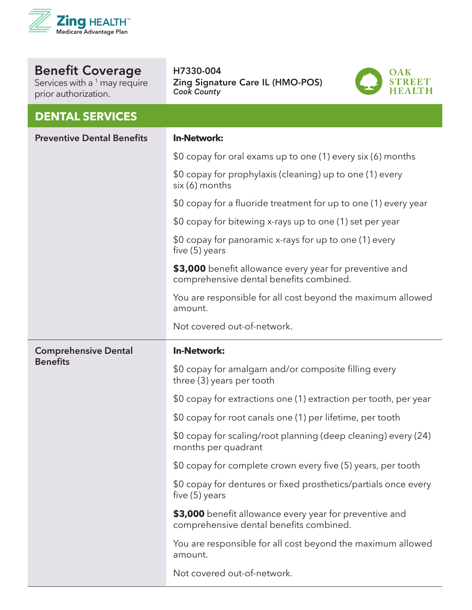

Services with a <sup>1</sup> may require prior authorization.

#### **DENTAL SERVICES**

H7330-004 Zing Signature Care IL (HMO-POS) *Cook County*



| <b>Preventive Dental Benefits</b> | <b>In-Network:</b>                                                                                 |
|-----------------------------------|----------------------------------------------------------------------------------------------------|
|                                   | \$0 copay for oral exams up to one (1) every six (6) months                                        |
|                                   | \$0 copay for prophylaxis (cleaning) up to one (1) every<br>six (6) months                         |
|                                   | \$0 copay for a fluoride treatment for up to one (1) every year                                    |
|                                   | \$0 copay for bitewing x-rays up to one (1) set per year                                           |
|                                   | \$0 copay for panoramic x-rays for up to one (1) every<br>five $(5)$ years                         |
|                                   | \$3,000 benefit allowance every year for preventive and<br>comprehensive dental benefits combined. |
|                                   | You are responsible for all cost beyond the maximum allowed<br>amount.                             |
|                                   | Not covered out-of-network.                                                                        |
| <b>Comprehensive Dental</b>       | <b>In-Network:</b>                                                                                 |
| <b>Benefits</b>                   | \$0 copay for amalgam and/or composite filling every<br>three (3) years per tooth                  |
|                                   | \$0 copay for extractions one (1) extraction per tooth, per year                                   |
|                                   | \$0 copay for root canals one (1) per lifetime, per tooth                                          |
|                                   | \$0 copay for scaling/root planning (deep cleaning) every (24)<br>months per quadrant              |
|                                   | \$0 copay for complete crown every five (5) years, per tooth                                       |
|                                   | \$0 copay for dentures or fixed prosthetics/partials once every<br>five $(5)$ years                |
|                                   | \$3,000 benefit allowance every year for preventive and<br>comprehensive dental benefits combined. |
|                                   | You are responsible for all cost beyond the maximum allowed<br>amount.                             |
|                                   | Not covered out-of-network.                                                                        |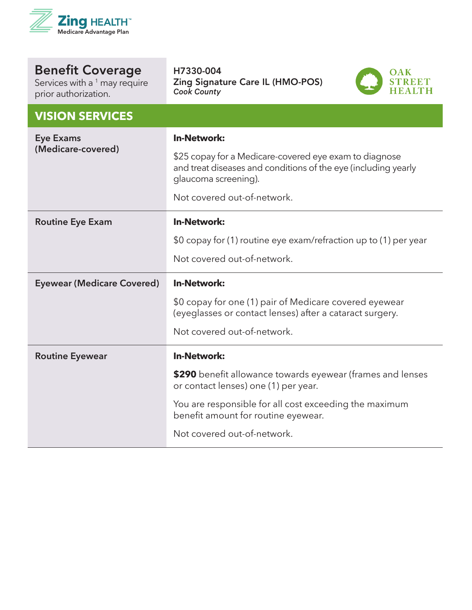

| <b>Benefit Coverage</b> |  |
|-------------------------|--|
| $Conri\infty$           |  |

Services with a  $^1$  may require prior authorization.

H7330-004 Zing Signature Care IL (HMO-POS) *Cook County*



| <b>VISION SERVICES</b>                 |                                                                                                                                                  |
|----------------------------------------|--------------------------------------------------------------------------------------------------------------------------------------------------|
| <b>Eye Exams</b><br>(Medicare-covered) | <b>In-Network:</b>                                                                                                                               |
|                                        | \$25 copay for a Medicare-covered eye exam to diagnose<br>and treat diseases and conditions of the eye (including yearly<br>glaucoma screening). |
|                                        | Not covered out-of-network.                                                                                                                      |
| <b>Routine Eye Exam</b>                | <b>In-Network:</b>                                                                                                                               |
|                                        | \$0 copay for (1) routine eye exam/refraction up to (1) per year                                                                                 |
|                                        | Not covered out-of-network.                                                                                                                      |
| <b>Eyewear (Medicare Covered)</b>      | <b>In-Network:</b>                                                                                                                               |
|                                        | \$0 copay for one (1) pair of Medicare covered eyewear<br>(eyeglasses or contact lenses) after a cataract surgery.                               |
|                                        | Not covered out-of-network.                                                                                                                      |
| <b>Routine Eyewear</b>                 | <b>In-Network:</b>                                                                                                                               |
|                                        | \$290 benefit allowance towards eyewear (frames and lenses                                                                                       |
|                                        | or contact lenses) one (1) per year.                                                                                                             |
|                                        | You are responsible for all cost exceeding the maximum<br>benefit amount for routine eyewear.                                                    |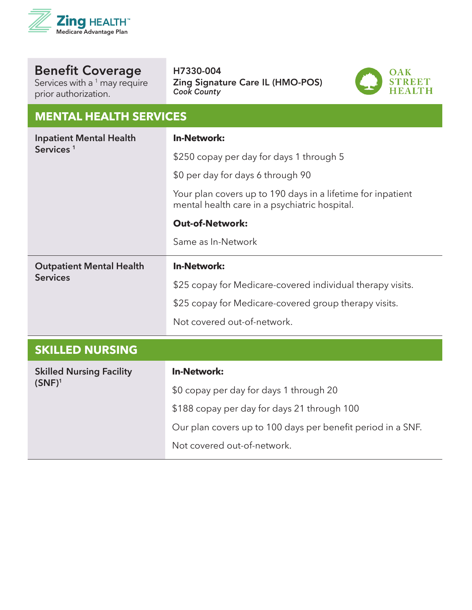

Services with a <sup>1</sup> may require prior authorization.

H7330-004 Zing Signature Care IL (HMO-POS) *Cook County*



#### **MENTAL HEALTH SERVICES**

| <b>Inpatient Mental Health</b><br>Services <sup>1</sup> | <b>In-Network:</b>                                                                                           |
|---------------------------------------------------------|--------------------------------------------------------------------------------------------------------------|
|                                                         | \$250 copay per day for days 1 through 5                                                                     |
|                                                         | \$0 per day for days 6 through 90                                                                            |
|                                                         | Your plan covers up to 190 days in a lifetime for inpatient<br>mental health care in a psychiatric hospital. |
|                                                         | <b>Out-of-Network:</b>                                                                                       |
|                                                         | Same as In-Network                                                                                           |
| <b>Outpatient Mental Health</b><br><b>Services</b>      | <b>In-Network:</b>                                                                                           |
|                                                         | \$25 copay for Medicare-covered individual therapy visits.                                                   |
|                                                         | \$25 copay for Medicare-covered group therapy visits.                                                        |
|                                                         | Not covered out-of-network.                                                                                  |
| <b>SKILLED NURSING</b>                                  |                                                                                                              |
| <b>Skilled Nursing Facility</b>                         | <b>In-Network:</b>                                                                                           |
| $(SNF)^1$                                               | \$0 copay per day for days 1 through 20                                                                      |
|                                                         | \$188 copay per day for days 21 through 100                                                                  |
|                                                         | Our plan covers up to 100 days per benefit period in a SNF.                                                  |

Not covered out-of-network.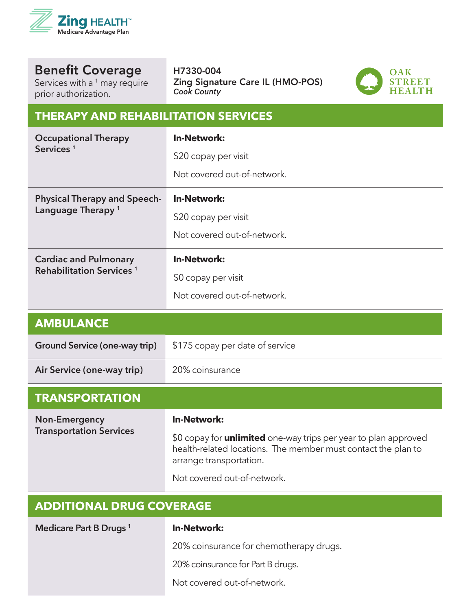

Services with a  $^1$  may require prior authorization.

#### H7330-004 Zing Signature Care IL (HMO-POS) *Cook County*



#### **THERAPY AND REHABILITATION SERVICES**

| <b>Occupational Therapy</b><br>Services <sup>1</sup>                 | <b>In-Network:</b><br>\$20 copay per visit<br>Not covered out-of-network. |
|----------------------------------------------------------------------|---------------------------------------------------------------------------|
| <b>Physical Therapy and Speech-</b><br>Language Therapy <sup>1</sup> | <b>In-Network:</b><br>\$20 copay per visit<br>Not covered out-of-network. |
| <b>Cardiac and Pulmonary</b><br>Rehabilitation Services <sup>1</sup> | <b>In-Network:</b><br>\$0 copay per visit<br>Not covered out-of-network.  |
| <b>AMBULANCE</b>                                                     |                                                                           |
| Ground Service (one-way trip)                                        | \$175 copay per date of service                                           |
| Air Service (one-way trip)                                           | 20% coinsurance                                                           |
| <b>TRANSPORTATION</b>                                                |                                                                           |
| Non-Emergency                                                        | In-Network:                                                               |

**Non-Emergency Transportation Services** **In-Network:** 

\$0 copay for **unlimited** one-way trips per year to plan approved health-related locations. The member must contact the plan to arrange transportation.

Not covered out-of-network.

| <b>ADDITIONAL DRUG COVERAGE</b>    |                                         |
|------------------------------------|-----------------------------------------|
| Medicare Part B Drugs <sup>1</sup> | <b>In-Network:</b>                      |
|                                    | 20% coinsurance for chemotherapy drugs. |
|                                    | 20% coinsurance for Part B drugs.       |
|                                    | Not covered out-of-network.             |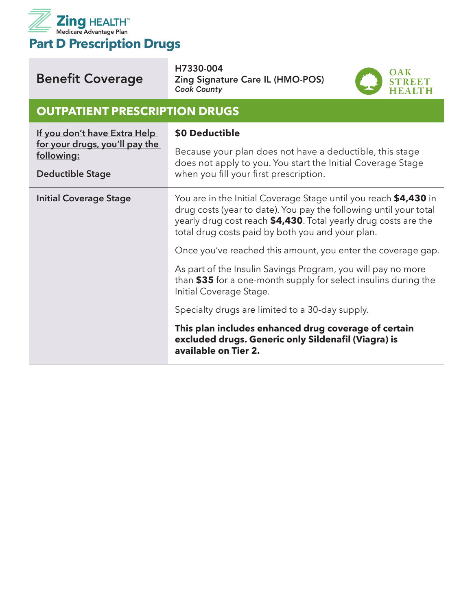

| <b>Benefit Coverage</b>                                                                                 | H7330-004<br><b>Zing Signature Care IL (HMO-POS)</b><br><b>Cook County</b>                                                                                                                                                                                   |  |
|---------------------------------------------------------------------------------------------------------|--------------------------------------------------------------------------------------------------------------------------------------------------------------------------------------------------------------------------------------------------------------|--|
| <b>OUTPATIENT PRESCRIPTION DRUGS</b>                                                                    |                                                                                                                                                                                                                                                              |  |
| If you don't have Extra Help<br>for your drugs, you'll pay the<br>following:<br><b>Deductible Stage</b> | \$0 Deductible<br>Because your plan does not have a deductible, this stage<br>does not apply to you. You start the Initial Coverage Stage<br>when you fill your first prescription.                                                                          |  |
| <b>Initial Coverage Stage</b>                                                                           | You are in the Initial Coverage Stage until you reach \$4,430 in<br>drug costs (year to date). You pay the following until your total<br>yearly drug cost reach \$4,430. Total yearly drug costs are the<br>total drug costs paid by both you and your plan. |  |
|                                                                                                         | Once you've reached this amount, you enter the coverage gap.<br>As part of the Insulin Savings Program, you will pay no more<br>than \$35 for a one-month supply for select insulins during the<br>Initial Coverage Stage.                                   |  |
|                                                                                                         | Specialty drugs are limited to a 30-day supply.<br>This plan includes enhanced drug coverage of certain<br>excluded drugs. Generic only Sildenafil (Viagra) is<br>available on Tier 2.                                                                       |  |

H7330-004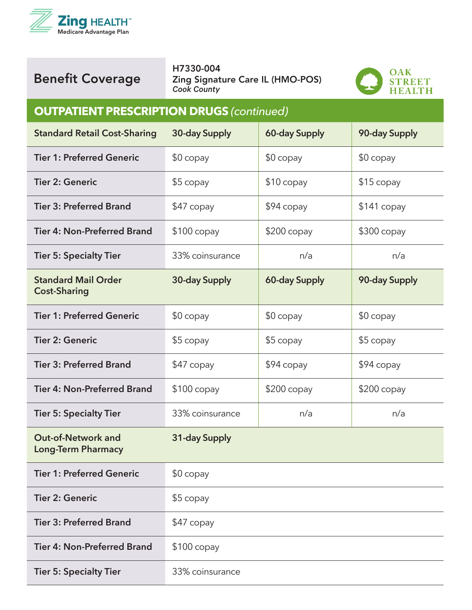



H7330-004 Zing Signature Care IL (HMO-POS) *Cook County*



#### **OUTPATIENT PRESCRIPTION DRUGS** *(continued)*

| <b>Standard Retail Cost-Sharing</b>                    | 30-day Supply   | <b>60-day Supply</b> | 90-day Supply |
|--------------------------------------------------------|-----------------|----------------------|---------------|
| <b>Tier 1: Preferred Generic</b>                       | $$0$ copay      | $$0$ copay           | $$0$ copay    |
| <b>Tier 2: Generic</b>                                 | \$5 copay       | $$10$ copay          | $$15$ copay   |
| <b>Tier 3: Preferred Brand</b>                         | \$47 copay      | \$94 copay           | \$141 copay   |
| <b>Tier 4: Non-Preferred Brand</b>                     | $$100$ copay    | $$200$ copay         | $$300$ copay  |
| <b>Tier 5: Specialty Tier</b>                          | 33% coinsurance | n/a                  | n/a           |
| <b>Standard Mail Order</b><br><b>Cost-Sharing</b>      | 30-day Supply   | <b>60-day Supply</b> | 90-day Supply |
| <b>Tier 1: Preferred Generic</b>                       | \$0 copay       | $$0$ copay           | $$0$ copay    |
| <b>Tier 2: Generic</b>                                 | \$5 copay       | $$5$ copay           | \$5 copay     |
| <b>Tier 3: Preferred Brand</b>                         | \$47 copay      | $$94$ copay          | $$94$ copay   |
| <b>Tier 4: Non-Preferred Brand</b>                     | $$100$ copay    | \$200 copay          | $$200$ copay  |
| <b>Tier 5: Specialty Tier</b>                          | 33% coinsurance | n/a                  | n/a           |
| <b>Out-of-Network and</b><br><b>Long-Term Pharmacy</b> | 31-day Supply   |                      |               |
| <b>Tier 1: Preferred Generic</b>                       | \$0 copay       |                      |               |
| <b>Tier 2: Generic</b>                                 | \$5 copay       |                      |               |
| <b>Tier 3: Preferred Brand</b>                         | \$47 copay      |                      |               |
| <b>Tier 4: Non-Preferred Brand</b>                     | $$100$ copay    |                      |               |
| <b>Tier 5: Specialty Tier</b>                          | 33% coinsurance |                      |               |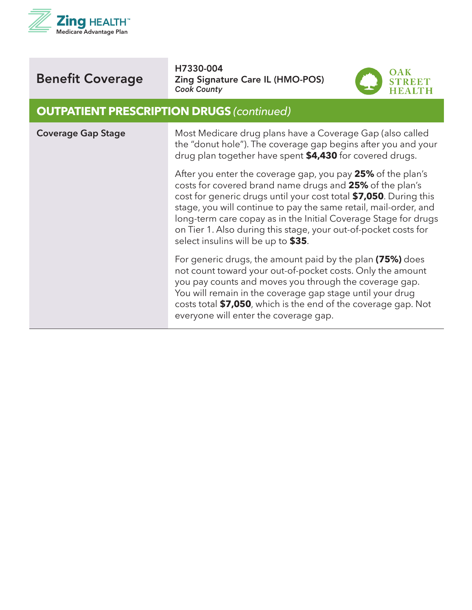



H7330-004 Zing Signature Care IL (HMO-POS) *Cook County*



#### **OUTPATIENT PRESCRIPTION DRUGS** *(continued)*

| <b>Coverage Gap Stage</b> | Most Medicare drug plans have a Coverage Gap (also called<br>the "donut hole"). The coverage gap begins after you and your<br>drug plan together have spent \$4,430 for covered drugs.                                                                                                                                                                                                                                                        |
|---------------------------|-----------------------------------------------------------------------------------------------------------------------------------------------------------------------------------------------------------------------------------------------------------------------------------------------------------------------------------------------------------------------------------------------------------------------------------------------|
|                           | After you enter the coverage gap, you pay 25% of the plan's<br>costs for covered brand name drugs and 25% of the plan's<br>cost for generic drugs until your cost total \$7,050. During this<br>stage, you will continue to pay the same retail, mail-order, and<br>long-term care copay as in the Initial Coverage Stage for drugs<br>on Tier 1. Also during this stage, your out-of-pocket costs for<br>select insulins will be up to \$35. |
|                           | For generic drugs, the amount paid by the plan (75%) does<br>not count toward your out-of-pocket costs. Only the amount<br>you pay counts and moves you through the coverage gap.<br>You will remain in the coverage gap stage until your drug<br>costs total \$7,050, which is the end of the coverage gap. Not<br>everyone will enter the coverage gap.                                                                                     |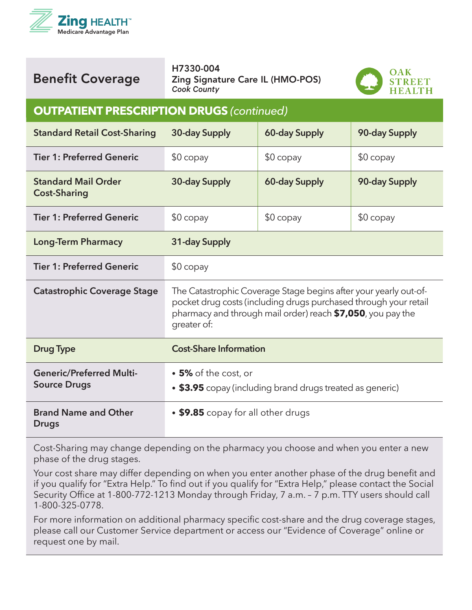



H7330-004 Zing Signature Care IL (HMO-POS) *Cook County*



#### **OUTPATIENT PRESCRIPTION DRUGS** *(continued)*

| <b>Standard Retail Cost-Sharing</b>                    | 30-day Supply                                                                                                                                                                                                      | 60-day Supply | 90-day Supply |
|--------------------------------------------------------|--------------------------------------------------------------------------------------------------------------------------------------------------------------------------------------------------------------------|---------------|---------------|
| <b>Tier 1: Preferred Generic</b>                       | $$0$ copay                                                                                                                                                                                                         | $$0$ copay    | $$0$ copay    |
| <b>Standard Mail Order</b><br><b>Cost-Sharing</b>      | 30-day Supply                                                                                                                                                                                                      | 60-day Supply | 90-day Supply |
| <b>Tier 1: Preferred Generic</b>                       | \$0 copay                                                                                                                                                                                                          | $$0$ copay    | $$0$ copay    |
| <b>Long-Term Pharmacy</b>                              | 31-day Supply                                                                                                                                                                                                      |               |               |
| <b>Tier 1: Preferred Generic</b>                       | $$0$ copay                                                                                                                                                                                                         |               |               |
| <b>Catastrophic Coverage Stage</b>                     | The Catastrophic Coverage Stage begins after your yearly out-of-<br>pocket drug costs (including drugs purchased through your retail<br>pharmacy and through mail order) reach \$7,050, you pay the<br>greater of: |               |               |
| <b>Drug Type</b>                                       | <b>Cost-Share Information</b>                                                                                                                                                                                      |               |               |
| <b>Generic/Preferred Multi-</b><br><b>Source Drugs</b> | • 5% of the cost, or<br>• \$3.95 copay (including brand drugs treated as generic)                                                                                                                                  |               |               |
| <b>Brand Name and Other</b><br><b>Drugs</b>            | • \$9.85 copay for all other drugs                                                                                                                                                                                 |               |               |

Cost-Sharing may change depending on the pharmacy you choose and when you enter a new phase of the drug stages.

Your cost share may differ depending on when you enter another phase of the drug benefit and if you qualify for "Extra Help." To find out if you qualify for "Extra Help," please contact the Social Security Office at 1-800-772-1213 Monday through Friday, 7 a.m. – 7 p.m. TTY users should call 1-800-325-0778.

For more information on additional pharmacy specific cost-share and the drug coverage stages, please call our Customer Service department or access our "Evidence of Coverage" online or request one by mail.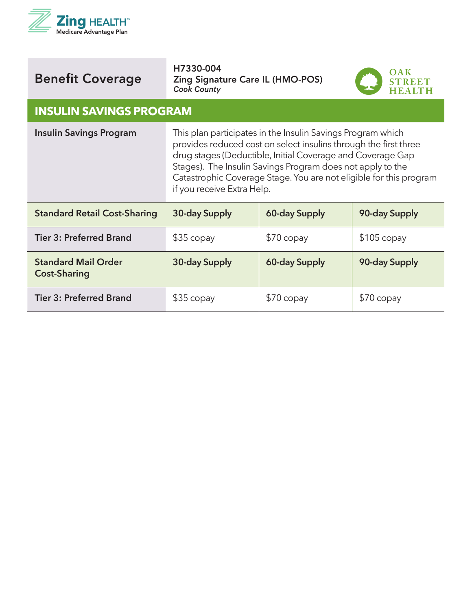

H7330-004 Zing Signature Care IL (HMO-POS) *Cook County*



#### **INSULIN SAVINGS PROGRAM**

| <b>Insulin Savings Program</b>                    | This plan participates in the Insulin Savings Program which<br>provides reduced cost on select insulins through the first three<br>drug stages (Deductible, Initial Coverage and Coverage Gap<br>Stages). The Insulin Savings Program does not apply to the<br>Catastrophic Coverage Stage. You are not eligible for this program<br>if you receive Extra Help. |                      |               |
|---------------------------------------------------|-----------------------------------------------------------------------------------------------------------------------------------------------------------------------------------------------------------------------------------------------------------------------------------------------------------------------------------------------------------------|----------------------|---------------|
| <b>Standard Retail Cost-Sharing</b>               | 30-day Supply                                                                                                                                                                                                                                                                                                                                                   | <b>60-day Supply</b> | 90-day Supply |
| <b>Tier 3: Preferred Brand</b>                    | $$35$ copay                                                                                                                                                                                                                                                                                                                                                     | $$70$ copay          | $$105$ copay  |
| <b>Standard Mail Order</b><br><b>Cost-Sharing</b> | 30-day Supply                                                                                                                                                                                                                                                                                                                                                   | 60-day Supply        | 90-day Supply |
| <b>Tier 3: Preferred Brand</b>                    | $$35$ copay                                                                                                                                                                                                                                                                                                                                                     | $$70$ copay          | $$70$ copay   |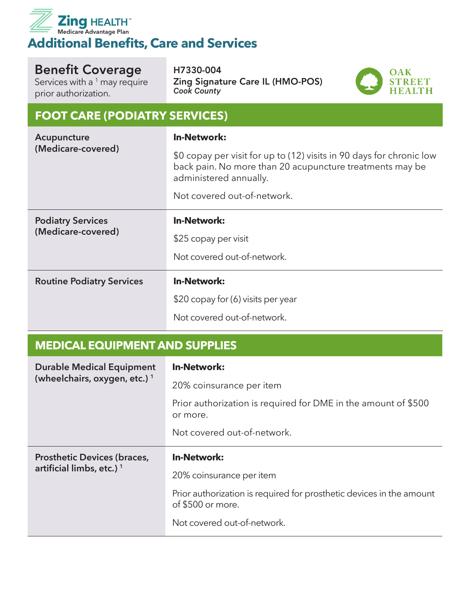

Services with a  $1$  may require prior authorization.

H7330-004 Zing Signature Care IL (HMO-POS) *Cook County*



#### **FOOT CARE (PODIATRY SERVICES)**

| Acupuncture<br>(Medicare-covered) | <b>In-Network:</b>                                                                                                                                         |  |
|-----------------------------------|------------------------------------------------------------------------------------------------------------------------------------------------------------|--|
|                                   | \$0 copay per visit for up to (12) visits in 90 days for chronic low<br>back pain. No more than 20 acupuncture treatments may be<br>administered annually. |  |
|                                   | Not covered out-of-network.                                                                                                                                |  |
| <b>Podiatry Services</b>          | <b>In-Network:</b>                                                                                                                                         |  |
| (Medicare-covered)                | \$25 copay per visit                                                                                                                                       |  |
|                                   | Not covered out-of-network.                                                                                                                                |  |
| <b>Routine Podiatry Services</b>  | <b>In-Network:</b>                                                                                                                                         |  |
|                                   | \$20 copay for (6) visits per year                                                                                                                         |  |
|                                   | Not covered out-of-network.                                                                                                                                |  |

## **MEDICAL EQUIPMENT AND SUPPLIES**

| <b>Durable Medical Equipment</b>         | <b>In-Network:</b>                                                                        |
|------------------------------------------|-------------------------------------------------------------------------------------------|
| (wheelchairs, oxygen, etc.) <sup>1</sup> | 20% coinsurance per item                                                                  |
|                                          | Prior authorization is required for DME in the amount of \$500<br>or more.                |
|                                          | Not covered out-of-network.                                                               |
|                                          |                                                                                           |
| <b>Prosthetic Devices (braces,</b>       | <b>In-Network:</b>                                                                        |
| artificial limbs, etc.) <sup>1</sup>     | 20% coinsurance per item                                                                  |
|                                          | Prior authorization is required for prosthetic devices in the amount<br>of \$500 or more. |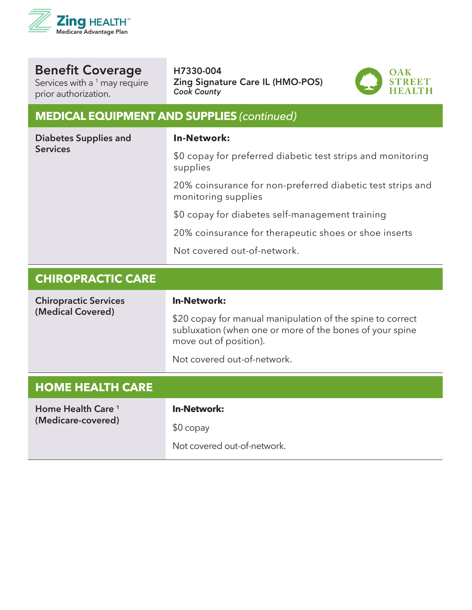

Services with a  $1$  may require prior authorization.

#### H7330-004 Zing Signature Care IL (HMO-POS) *Cook County*



#### **MEDICAL EQUIPMENT AND SUPPLIES** *(continued)*

| Diabetes Supplies and<br><b>Services</b> | <b>In-Network:</b>                                                                                                                               |
|------------------------------------------|--------------------------------------------------------------------------------------------------------------------------------------------------|
|                                          | \$0 copay for preferred diabetic test strips and monitoring<br>supplies                                                                          |
|                                          | 20% coinsurance for non-preferred diabetic test strips and<br>monitoring supplies                                                                |
|                                          | \$0 copay for diabetes self-management training                                                                                                  |
|                                          | 20% coinsurance for therapeutic shoes or shoe inserts                                                                                            |
|                                          | Not covered out-of-network.                                                                                                                      |
|                                          |                                                                                                                                                  |
| <b>CHIROPRACTIC CARE</b>                 |                                                                                                                                                  |
| <b>Chiropractic Services</b>             | <b>In-Network:</b>                                                                                                                               |
| (Medical Covered)                        | \$20 copay for manual manipulation of the spine to correct<br>subluxation (when one or more of the bones of your spine<br>move out of position). |
|                                          | Not covered out-of-network.                                                                                                                      |

| Home Health Care <sup>1</sup> | <b>In-Network:</b>          |
|-------------------------------|-----------------------------|
| (Medicare-covered)            | $$0$ copay                  |
|                               | Not covered out-of-network. |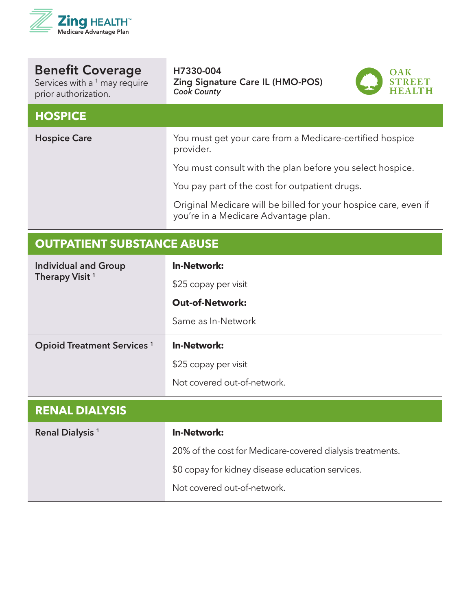

Benefit Coverage Services with a  $^1$  may require H7330-004 Zing Signature Care IL (HMO-POS) *Cook County*



#### **HOSPICE**

prior authorization.

**Hospice Care Mature 2018** You must get your care from a Medicare-certified hospice provider. You must consult with the plan before you select hospice. You pay part of the cost for outpatient drugs. Original Medicare will be billed for your hospice care, even if you're in a Medicare Advantage plan.

# **OUTPATIENT SUBSTANCE ABUSE Individual and Group Therapy Visit <sup>1</sup> In-Network:** \$25 copay per visit **Out-of-Network:** Same as In-Network **Opioid Treatment Services <sup>1</sup> In-Network:** \$25 copay per visit Not covered out-of-network.

| <b>In-Network:</b>                                        |
|-----------------------------------------------------------|
| 20% of the cost for Medicare-covered dialysis treatments. |
| \$0 copay for kidney disease education services.          |
| Not covered out-of-network.                               |
|                                                           |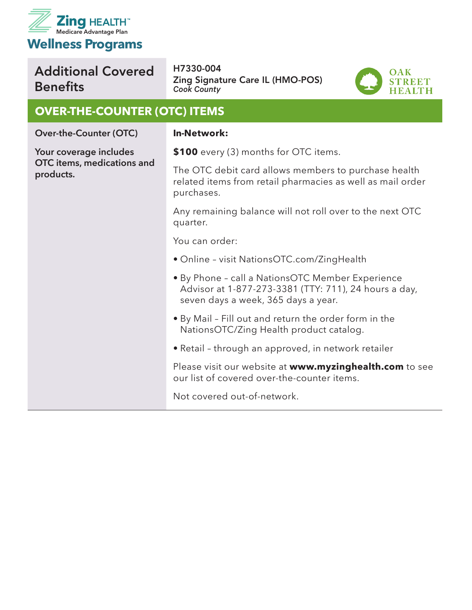

# Additional Covered **Benefits**

H7330-004 Zing Signature Care IL (HMO-POS) *Cook County*



#### **OVER-THE-COUNTER (OTC) ITEMS**

**Over-the-Counter (OTC)**

**Your coverage includes OTC items, medications and products.** 

#### **In-Network:**

**\$100** every (3) months for OTC items.

The OTC debit card allows members to purchase health related items from retail pharmacies as well as mail order purchases.

Any remaining balance will not roll over to the next OTC quarter.

You can order:

- Online visit NationsOTC.com/ZingHealth
- By Phone call a NationsOTC Member Experience Advisor at 1-877-273-3381 (TTY: 711), 24 hours a day, seven days a week, 365 days a year.
- By Mail Fill out and return the order form in the NationsOTC/Zing Health product catalog.
- Retail through an approved, in network retailer

Please visit our website at **www.myzinghealth.com** to see our list of covered over-the-counter items.

Not covered out-of-network.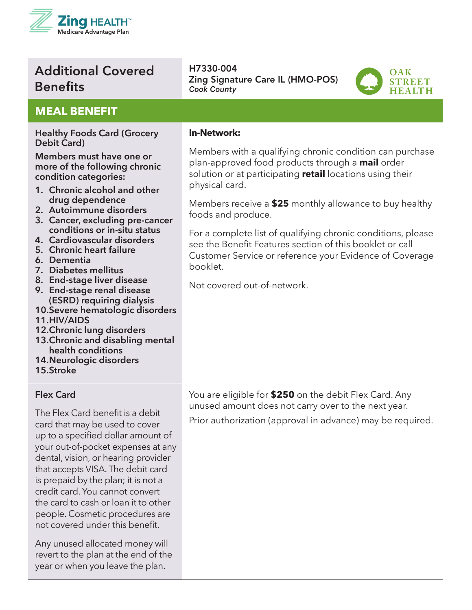

# Additional Covered **Benefits**

#### **MEAL BENEFIT**

#### **Healthy Foods Card (Grocery Debit Card)**

**Members must have one or more of the following chronic condition categories:**

- **1. Chronic alcohol and other drug dependence**
- **2. Autoimmune disorders**
- **3. Cancer, excluding pre-cancer conditions or in-situ status**
- **4. Cardiovascular disorders**
- **5. Chronic heart failure**
- **6. Dementia**
- **7. Diabetes mellitus**
- **8. End-stage liver disease**
- **9. End-stage renal disease (ESRD) requiring dialysis**
- **10.Severe hematologic disorders**
- **11.HIV/AIDS**
- **12.Chronic lung disorders**
- **13.Chronic and disabling mental health conditions**
- **14.Neurologic disorders**
- **15.Stroke**

#### **Flex Card**

The Flex Card benefit is a debit card that may be used to cover up to a specified dollar amount of your out-of-pocket expenses at any dental, vision, or hearing provider that accepts VISA. The debit card is prepaid by the plan; it is not a credit card. You cannot convert the card to cash or loan it to other people. Cosmetic procedures are not covered under this benefit.

Any unused allocated money will revert to the plan at the end of the year or when you leave the plan.

H7330-004 Zing Signature Care IL (HMO-POS) *Cook County*



#### **In-Network:**

Members with a qualifying chronic condition can purchase plan-approved food products through a **mail** order solution or at participating **retail** locations using their physical card.

Members receive a **\$25** monthly allowance to buy healthy foods and produce.

For a complete list of qualifying chronic conditions, please see the Benefit Features section of this booklet or call Customer Service or reference your Evidence of Coverage booklet.

Not covered out-of-network.

You are eligible for **\$250** on the debit Flex Card. Any unused amount does not carry over to the next year. Prior authorization (approval in advance) may be required.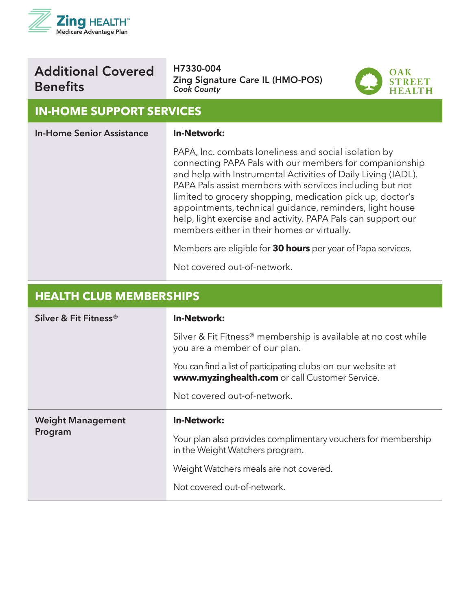

# Additional Covered **Benefits**

H7330-004 Zing Signature Care IL (HMO-POS) *Cook County*



#### **IN-HOME SUPPORT SERVICES**

| <b>In-Home Senior Assistance</b> | <b>In-Network:</b>                                                                                                                                                                                                                                                                                                                                                                                                                                                                    |
|----------------------------------|---------------------------------------------------------------------------------------------------------------------------------------------------------------------------------------------------------------------------------------------------------------------------------------------------------------------------------------------------------------------------------------------------------------------------------------------------------------------------------------|
|                                  | PAPA, Inc. combats loneliness and social isolation by<br>connecting PAPA Pals with our members for companionship<br>and help with Instrumental Activities of Daily Living (IADL).<br>PAPA Pals assist members with services including but not<br>limited to grocery shopping, medication pick up, doctor's<br>appointments, technical guidance, reminders, light house<br>help, light exercise and activity. PAPA Pals can support our<br>members either in their homes or virtually. |
|                                  | Members are eligible for <b>30 hours</b> per year of Papa services.                                                                                                                                                                                                                                                                                                                                                                                                                   |
|                                  | Not covered out-of-network.                                                                                                                                                                                                                                                                                                                                                                                                                                                           |

#### **HEALTH CLUB MEMBERSHIPS Silver & Fit Fitness® In-Network:** Silver & Fit Fitness® membership is available at no cost while you are a member of our plan. You can find a list of participating clubs on our website at **www.myzinghealth.com** or call Customer Service. Not covered out-of-network. **Weight Management Program In-Network:**  Your plan also provides complimentary vouchers for membership in the Weight Watchers program. Weight Watchers meals are not covered. Not covered out-of-network.